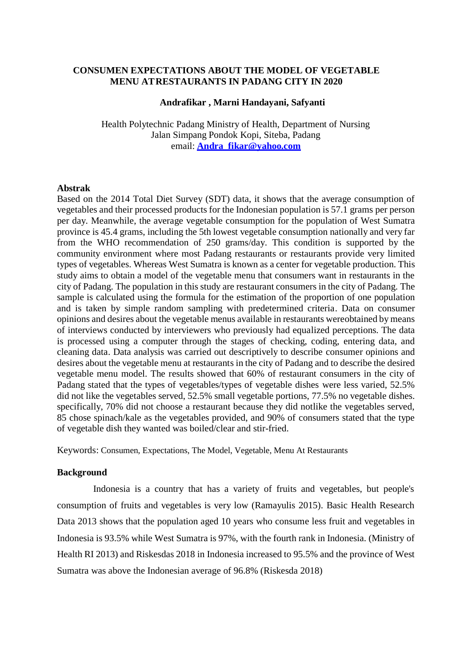#### **CONSUMEN EXPECTATIONS ABOUT THE MODEL OF VEGETABLE MENU AT RESTAURANTS IN PADANG CITY IN 2020**

#### **Andrafikar , Marni Handayani, Safyanti**

Health Polytechnic Padang Ministry of Health, Department of Nursing Jalan Simpang Pondok Kopi, Siteba, Padang email: **[Andra\\_fikar@yahoo.com](mailto:Andra_fikar@yahoo.com)**

#### **Abstrak**

Based on the 2014 Total Diet Survey (SDT) data, it shows that the average consumption of vegetables and their processed products for the Indonesian population is 57.1 grams per person per day. Meanwhile, the average vegetable consumption for the population of West Sumatra province is 45.4 grams, including the 5th lowest vegetable consumption nationally and very far from the WHO recommendation of 250 grams/day. This condition is supported by the community environment where most Padang restaurants or restaurants provide very limited types of vegetables. Whereas West Sumatra is known as a center for vegetable production. This study aims to obtain a model of the vegetable menu that consumers want in restaurants in the city of Padang. The population in this study are restaurant consumers in the city of Padang. The sample is calculated using the formula for the estimation of the proportion of one population and is taken by simple random sampling with predetermined criteria. Data on consumer opinions and desires about the vegetable menus available in restaurants wereobtained by means of interviews conducted by interviewers who previously had equalized perceptions. The data is processed using a computer through the stages of checking, coding, entering data, and cleaning data. Data analysis was carried out descriptively to describe consumer opinions and desires about the vegetable menu at restaurants in the city of Padang and to describe the desired vegetable menu model. The results showed that 60% of restaurant consumers in the city of Padang stated that the types of vegetables/types of vegetable dishes were less varied, 52.5% did not like the vegetables served, 52.5% small vegetable portions, 77.5% no vegetable dishes. specifically, 70% did not choose a restaurant because they did notlike the vegetables served, 85 chose spinach/kale as the vegetables provided, and 90% of consumers stated that the type of vegetable dish they wanted was boiled/clear and stir-fried.

Keywords: Consumen, Expectations, The Model, Vegetable, Menu At Restaurants

#### **Background**

Indonesia is a country that has a variety of fruits and vegetables, but people's consumption of fruits and vegetables is very low (Ramayulis 2015). Basic Health Research Data 2013 shows that the population aged 10 years who consume less fruit and vegetables in Indonesia is 93.5% while West Sumatra is 97%, with the fourth rank in Indonesia. (Ministry of Health RI 2013) and Riskesdas 2018 in Indonesia increased to 95.5% and the province of West Sumatra was above the Indonesian average of 96.8% (Riskesda 2018)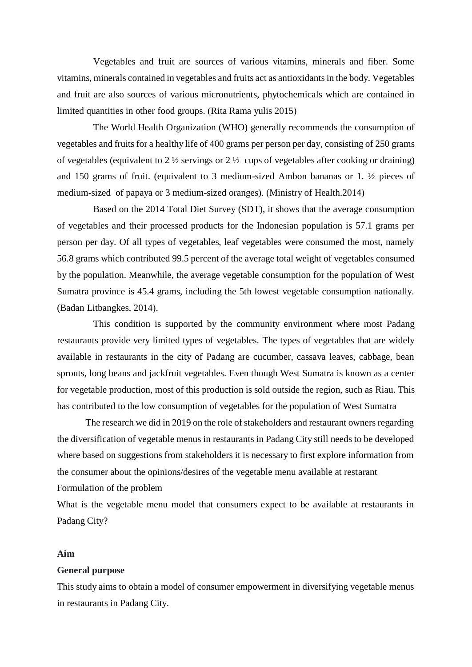Vegetables and fruit are sources of various vitamins, minerals and fiber. Some vitamins, minerals contained in vegetables and fruits act as antioxidantsin the body. Vegetables and fruit are also sources of various micronutrients, phytochemicals which are contained in limited quantities in other food groups. (Rita Rama yulis 2015)

The World Health Organization (WHO) generally recommends the consumption of vegetables and fruits for a healthy life of 400 grams per person per day, consisting of 250 grams of vegetables (equivalent to  $2\frac{1}{2}$  servings or  $2\frac{1}{2}$  cups of vegetables after cooking or draining) and 150 grams of fruit. (equivalent to 3 medium-sized Ambon bananas or 1. ½ pieces of medium-sized of papaya or 3 medium-sized oranges). (Ministry of Health.2014)

Based on the 2014 Total Diet Survey (SDT), it shows that the average consumption of vegetables and their processed products for the Indonesian population is 57.1 grams per person per day. Of all types of vegetables, leaf vegetables were consumed the most, namely 56.8 grams which contributed 99.5 percent of the average total weight of vegetables consumed by the population. Meanwhile, the average vegetable consumption for the population of West Sumatra province is 45.4 grams, including the 5th lowest vegetable consumption nationally. (Badan Litbangkes, 2014).

This condition is supported by the community environment where most Padang restaurants provide very limited types of vegetables. The types of vegetables that are widely available in restaurants in the city of Padang are cucumber, cassava leaves, cabbage, bean sprouts, long beans and jackfruit vegetables. Even though West Sumatra is known as a center for vegetable production, most of this production is sold outside the region, such as Riau. This has contributed to the low consumption of vegetables for the population of West Sumatra

The research we did in 2019 on the role of stakeholders and restaurant owners regarding the diversification of vegetable menus in restaurants in Padang City still needs to be developed where based on suggestions from stakeholders it is necessary to first explore information from the consumer about the opinions/desires of the vegetable menu available at restarant Formulation of the problem

What is the vegetable menu model that consumers expect to be available at restaurants in Padang City?

#### **Aim**

#### **General purpose**

This study aims to obtain a model of consumer empowerment in diversifying vegetable menus in restaurants in Padang City.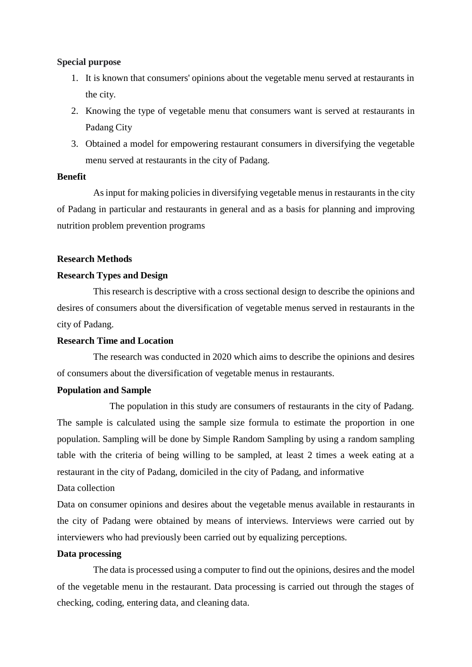#### **Special purpose**

- 1. It is known that consumers' opinions about the vegetable menu served at restaurants in the city.
- 2. Knowing the type of vegetable menu that consumers want is served at restaurants in Padang City
- 3. Obtained a model for empowering restaurant consumers in diversifying the vegetable menu served at restaurants in the city of Padang.

### **Benefit**

Asinput for making policies in diversifying vegetable menus in restaurants in the city of Padang in particular and restaurants in general and as a basis for planning and improving nutrition problem prevention programs

### **Research Methods**

# **Research Types and Design**

This research is descriptive with a cross sectional design to describe the opinions and desires of consumers about the diversification of vegetable menus served in restaurants in the city of Padang.

### **Research Time and Location**

The research was conducted in 2020 which aims to describe the opinions and desires of consumers about the diversification of vegetable menus in restaurants.

### **Population and Sample**

The population in this study are consumers of restaurants in the city of Padang. The sample is calculated using the sample size formula to estimate the proportion in one population. Sampling will be done by Simple Random Sampling by using a random sampling table with the criteria of being willing to be sampled, at least 2 times a week eating at a restaurant in the city of Padang, domiciled in the city of Padang, and informative

### Data collection

Data on consumer opinions and desires about the vegetable menus available in restaurants in the city of Padang were obtained by means of interviews. Interviews were carried out by interviewers who had previously been carried out by equalizing perceptions.

### **Data processing**

The data is processed using a computer to find out the opinions, desires and the model of the vegetable menu in the restaurant. Data processing is carried out through the stages of checking, coding, entering data, and cleaning data.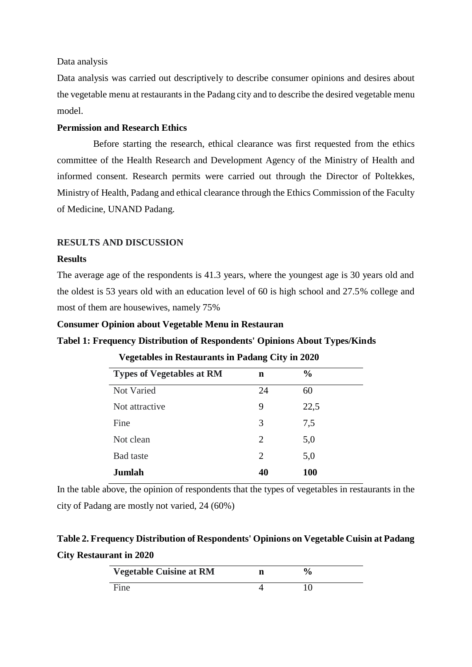#### Data analysis

Data analysis was carried out descriptively to describe consumer opinions and desires about the vegetable menu at restaurants in the Padang city and to describe the desired vegetable menu model.

# **Permission and Research Ethics**

Before starting the research, ethical clearance was first requested from the ethics committee of the Health Research and Development Agency of the Ministry of Health and informed consent. Research permits were carried out through the Director of Poltekkes, Ministry of Health, Padang and ethical clearance through the Ethics Commission of the Faculty of Medicine, UNAND Padang.

#### **RESULTS AND DISCUSSION**

#### **Results**

The average age of the respondents is 41.3 years, where the youngest age is 30 years old and the oldest is 53 years old with an education level of 60 is high school and 27.5% college and most of them are housewives, namely 75%

#### **Consumer Opinion about Vegetable Menu in Restauran**

#### **Tabel 1: Frequency Distribution of Respondents' Opinions About Types/Kinds**

| <b>Types of Vegetables at RM</b> | n              | $\frac{0}{0}$ |  |
|----------------------------------|----------------|---------------|--|
| Not Varied                       | 24             | 60            |  |
| Not attractive                   | 9              | 22,5          |  |
| Fine                             | 3              | 7,5           |  |
| Not clean                        | $\overline{2}$ | 5,0           |  |
| <b>Bad</b> taste                 | 2              | 5,0           |  |
| Jumlah                           | 40             | <b>100</b>    |  |

**Vegetables in Restaurants in Padang City in 2020**

In the table above, the opinion of respondents that the types of vegetables in restaurants in the city of Padang are mostly not varied, 24 (60%)

# **Table 2. Frequency Distribution of Respondents' Opinions on Vegetable Cuisin at Padang City Restaurant in 2020**

| <b>Vegetable Cuisine at RM</b> | $\frac{1}{2}$ |  |
|--------------------------------|---------------|--|
| Fine                           | 10            |  |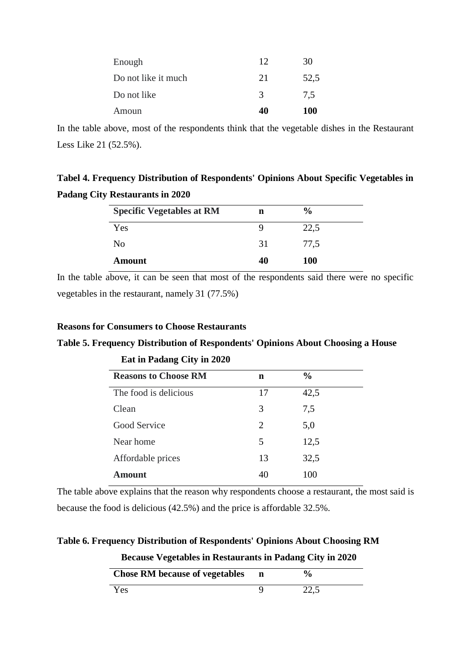| Enough              | 12 | 30         |
|---------------------|----|------------|
| Do not like it much | 21 | 52,5       |
| Do not like         | 3  | 7.5        |
| Amoun               | 40 | <b>100</b> |

In the table above, most of the respondents think that the vegetable dishes in the Restaurant Less Like 21 (52.5%).

**Tabel 4. Frequency Distribution of Respondents' Opinions About Specific Vegetables in Padang City Restaurants in 2020**

| <b>Specific Vegetables at RM</b> | n  | $\frac{0}{0}$ |  |
|----------------------------------|----|---------------|--|
| Yes                              |    | 22,5          |  |
| No                               | 31 | 77,5          |  |
| <b>Amount</b>                    | 40 | 100           |  |

In the table above, it can be seen that most of the respondents said there were no specific vegetables in the restaurant, namely 31 (77.5%)

# **Reasons for Consumers to Choose Restaurants**

# **Table 5. Frequency Distribution of Respondents' Opinions About Choosing a House**

| <b>Reasons to Choose RM</b> | n  | $\frac{0}{0}$ |
|-----------------------------|----|---------------|
| The food is delicious       | 17 | 42,5          |
| Clean                       | 3  | 7,5           |
| Good Service                | 2  | 5,0           |
| Near home                   | 5  | 12,5          |
| Affordable prices           | 13 | 32,5          |
| Amount                      |    | 100           |

**Eat in Padang City in 2020**

The table above explains that the reason why respondents choose a restaurant, the most said is because the food is delicious (42.5%) and the price is affordable 32.5%.

**Table 6. Frequency Distribution of Respondents' Opinions About Choosing RM**

**Because Vegetables in Restaurants in Padang City in 2020**

| <b>Chose RM because of vegetables</b> | $\frac{0}{0}$ |
|---------------------------------------|---------------|
| Yes                                   | 22,5          |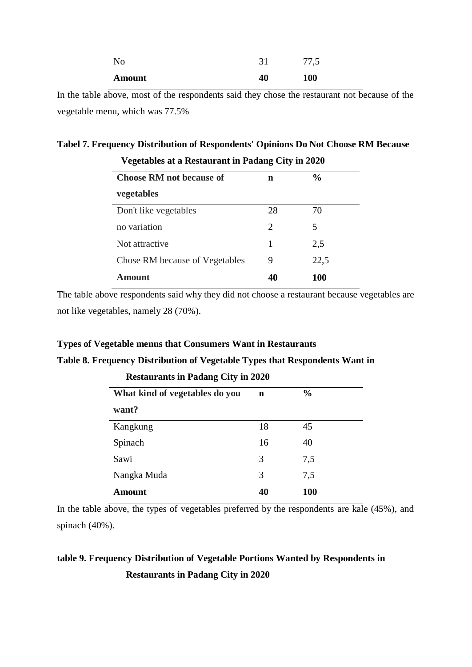| No            | $\mathbf{21}$ | 77,5       |
|---------------|---------------|------------|
| <b>Amount</b> | 40            | <b>100</b> |

In the table above, most of the respondents said they chose the restaurant not because of the vegetable menu, which was 77.5%

# **Tabel 7. Frequency Distribution of Respondents' Opinions Do Not Choose RM Because**

| <b>Choose RM not because of</b> | n                           | $\frac{0}{0}$ |
|---------------------------------|-----------------------------|---------------|
| vegetables                      |                             |               |
| Don't like vegetables           | 28                          | 70            |
| no variation                    | $\mathcal{D}_{\mathcal{L}}$ | 5             |
| Not attractive                  | 1                           | 2,5           |
| Chose RM because of Vegetables  | 9                           | 22,5          |
| Amount                          | 40                          | 100           |

# **Vegetables at a Restaurant in Padang City in 2020**

The table above respondents said why they did not choose a restaurant because vegetables are not like vegetables, namely 28 (70%).

# **Types of Vegetable menus that Consumers Want in Restaurants**

# **Table 8. Frequency Distribution of Vegetable Types that Respondents Want in**

| What kind of vegetables do you | $\mathbf n$ | $\frac{0}{0}$ |
|--------------------------------|-------------|---------------|
| want?                          |             |               |
| Kangkung                       | 18          | 45            |
| Spinach                        | 16          | 40            |
| Sawi                           | 3           | 7,5           |
| Nangka Muda                    | 3           | 7,5           |
| Amount                         | 40          | <b>100</b>    |

# **Restaurants in Padang City in 2020**

In the table above, the types of vegetables preferred by the respondents are kale (45%), and spinach (40%).

# **table 9. Frequency Distribution of Vegetable Portions Wanted by Respondents in**

**Restaurants in Padang City in 2020**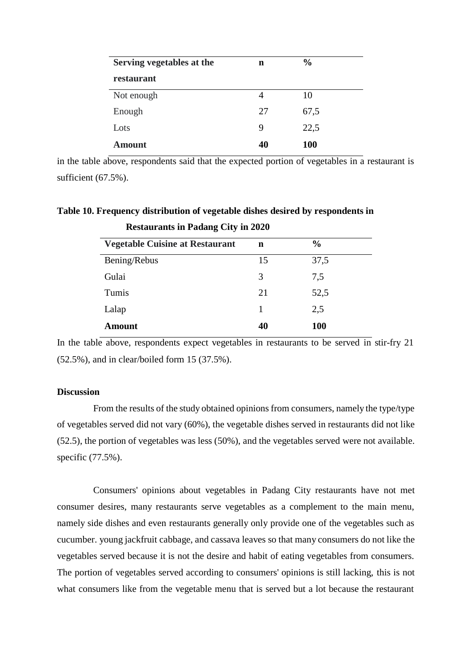| Serving vegetables at the | n  | $\frac{0}{0}$ |
|---------------------------|----|---------------|
| restaurant                |    |               |
| Not enough                | 4  | 10            |
| Enough                    | 27 | 67,5          |
| Lots                      | 9  | 22,5          |
| Amount                    | 40 | <b>100</b>    |

in the table above, respondents said that the expected portion of vegetables in a restaurant is sufficient (67.5%).

| <b>Restaurants in Padang City in 2020</b> |    |               |  |
|-------------------------------------------|----|---------------|--|
| <b>Vegetable Cuisine at Restaurant</b>    | n  | $\frac{0}{0}$ |  |
| Bening/Rebus                              | 15 | 37,5          |  |
| Gulai                                     | 3  | 7,5           |  |
| Tumis                                     | 21 | 52,5          |  |
| Lalap                                     |    | 2,5           |  |
| Amount                                    |    | <b>100</b>    |  |

**Table 10. Frequency distribution of vegetable dishes desired by respondents in**

In the table above, respondents expect vegetables in restaurants to be served in stir-fry 21 (52.5%), and in clear/boiled form 15 (37.5%).

# **Discussion**

From the results of the study obtained opinions from consumers, namely the type/type of vegetables served did not vary (60%), the vegetable dishes served in restaurants did not like (52.5), the portion of vegetables was less (50%), and the vegetables served were not available. specific (77.5%).

Consumers' opinions about vegetables in Padang City restaurants have not met consumer desires, many restaurants serve vegetables as a complement to the main menu, namely side dishes and even restaurants generally only provide one of the vegetables such as cucumber. young jackfruit cabbage, and cassava leaves so that many consumers do not like the vegetables served because it is not the desire and habit of eating vegetables from consumers. The portion of vegetables served according to consumers' opinions is still lacking, this is not what consumers like from the vegetable menu that is served but a lot because the restaurant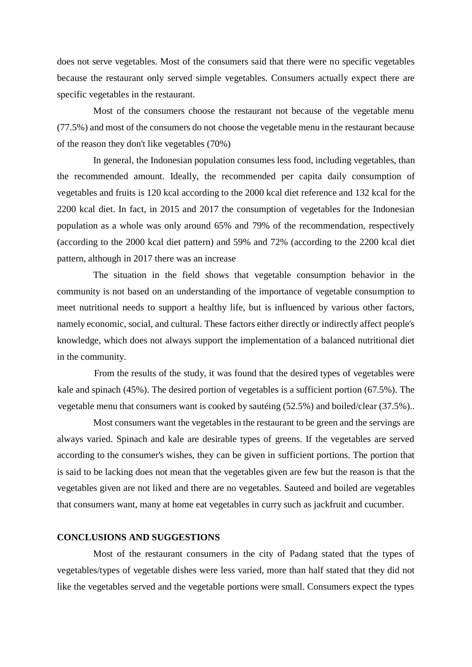does not serve vegetables. Most of the consumers said that there were no specific vegetables because the restaurant only served simple vegetables. Consumers actually expect there are specific vegetables in the restaurant.

Most of the consumers choose the restaurant not because of the vegetable menu (77.5%) and most of the consumers do not choose the vegetable menu in the restaurant because of the reason they don't like vegetables (70%)

In general, the Indonesian population consumes less food, including vegetables, than the recommended amount. Ideally, the recommended per capita daily consumption of vegetables and fruits is 120 kcal according to the 2000 kcal diet reference and 132 kcal for the 2200 kcal diet. In fact, in 2015 and 2017 the consumption of vegetables for the Indonesian population as a whole was only around 65% and 79% of the recommendation, respectively (according to the 2000 kcal diet pattern) and 59% and 72% (according to the 2200 kcal diet pattern, although in 2017 there was an increase

The situation in the field shows that vegetable consumption behavior in the community is not based on an understanding of the importance of vegetable consumption to meet nutritional needs to support a healthy life, but is influenced by various other factors, namely economic, social, and cultural. These factors either directly or indirectly affect people's knowledge, which does not always support the implementation of a balanced nutritional diet in the community.

From the results of the study, it was found that the desired types of vegetables were kale and spinach (45%). The desired portion of vegetables is a sufficient portion (67.5%). The vegetable menu that consumers want is cooked by sautéing (52.5%) and boiled/clear (37.5%)..

Most consumers want the vegetables in the restaurant to be green and the servings are always varied. Spinach and kale are desirable types of greens. If the vegetables are served according to the consumer's wishes, they can be given in sufficient portions. The portion that is said to be lacking does not mean that the vegetables given are few but the reason is that the vegetables given are not liked and there are no vegetables. Sauteed and boiled are vegetables that consumers want, many at home eat vegetables in curry such as jackfruit and cucumber.

#### **CONCLUSIONS AND SUGGESTIONS**

Most of the restaurant consumers in the city of Padang stated that the types of vegetables/types of vegetable dishes were less varied, more than half stated that they did not like the vegetables served and the vegetable portions were small. Consumers expect the types